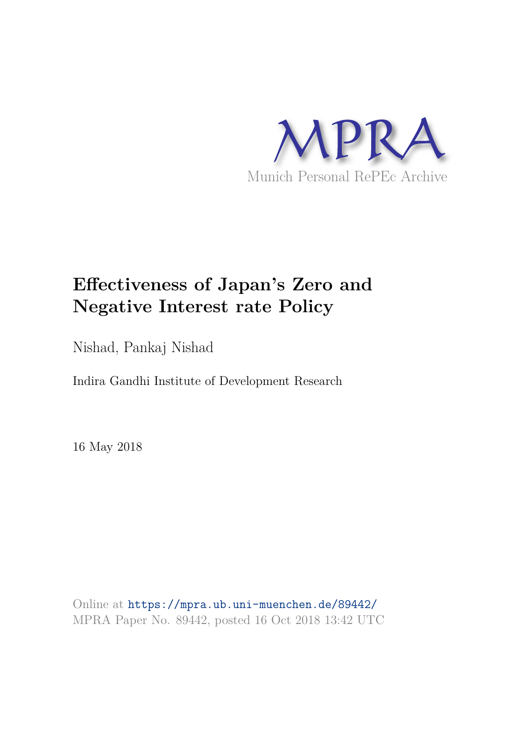

# **Effectiveness of Japan's Zero and Negative Interest rate Policy**

Nishad, Pankaj Nishad

Indira Gandhi Institute of Development Research

16 May 2018

Online at https://mpra.ub.uni-muenchen.de/89442/ MPRA Paper No. 89442, posted 16 Oct 2018 13:42 UTC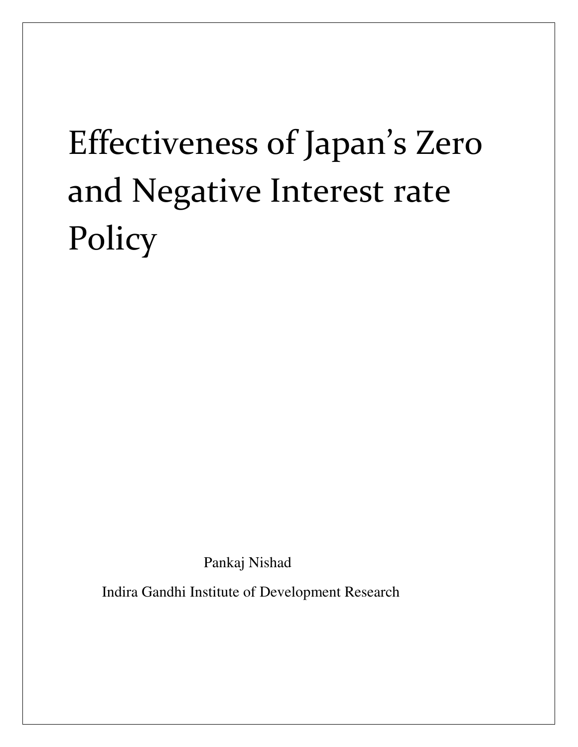# Effectiveness of Japan's Zero and Negative Interest rate Policy

Pankaj Nishad

Indira Gandhi Institute of Development Research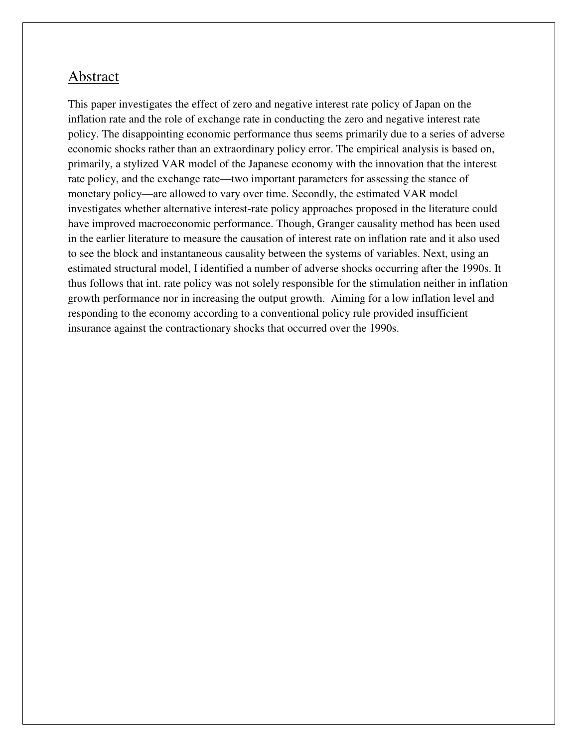### Abstract

This paper investigates the effect of zero and negative interest rate policy of Japan on the inflation rate and the role of exchange rate in conducting the zero and negative interest rate policy. The disappointing economic performance thus seems primarily due to a series of adverse economic shocks rather than an extraordinary policy error. The empirical analysis is based on, primarily, a stylized VAR model of the Japanese economy with the innovation that the interest rate policy, and the exchange rate—two important parameters for assessing the stance of monetary policy—are allowed to vary over time. Secondly, the estimated VAR model investigates whether alternative interest-rate policy approaches proposed in the literature could have improved macroeconomic performance. Though, Granger causality method has been used in the earlier literature to measure the causation of interest rate on inflation rate and it also used to see the block and instantaneous causality between the systems of variables. Next, using an estimated structural model, I identified a number of adverse shocks occurring after the 1990s. It thus follows that int. rate policy was not solely responsible for the stimulation neither in inflation growth performance nor in increasing the output growth. Aiming for a low inflation level and responding to the economy according to a conventional policy rule provided insufficient insurance against the contractionary shocks that occurred over the 1990s.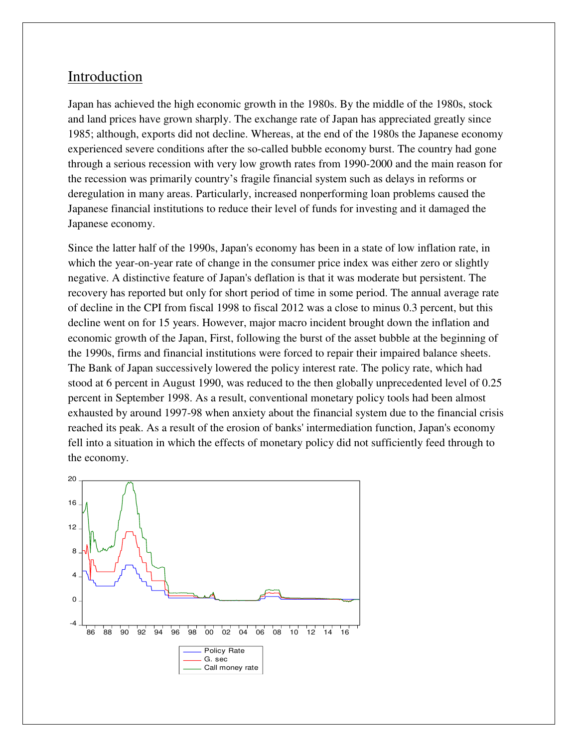## Introduction

Japan has achieved the high economic growth in the 1980s. By the middle of the 1980s, stock and land prices have grown sharply. The exchange rate of Japan has appreciated greatly since 1985; although, exports did not decline. Whereas, at the end of the 1980s the Japanese economy experienced severe conditions after the so-called bubble economy burst. The country had gone through a serious recession with very low growth rates from 1990-2000 and the main reason for the recession was primarily country's fragile financial system such as delays in reforms or deregulation in many areas. Particularly, increased nonperforming loan problems caused the Japanese financial institutions to reduce their level of funds for investing and it damaged the Japanese economy.

Since the latter half of the 1990s, Japan's economy has been in a state of low inflation rate, in which the year-on-year rate of change in the consumer price index was either zero or slightly negative. A distinctive feature of Japan's deflation is that it was moderate but persistent. The recovery has reported but only for short period of time in some period. The annual average rate of decline in the CPI from fiscal 1998 to fiscal 2012 was a close to minus 0.3 percent, but this decline went on for 15 years. However, major macro incident brought down the inflation and economic growth of the Japan, First, following the burst of the asset bubble at the beginning of the 1990s, firms and financial institutions were forced to repair their impaired balance sheets. The Bank of Japan successively lowered the policy interest rate. The policy rate, which had stood at 6 percent in August 1990, was reduced to the then globally unprecedented level of 0.25 percent in September 1998. As a result, conventional monetary policy tools had been almost exhausted by around 1997-98 when anxiety about the financial system due to the financial crisis reached its peak. As a result of the erosion of banks' intermediation function, Japan's economy fell into a situation in which the effects of monetary policy did not sufficiently feed through to the economy.

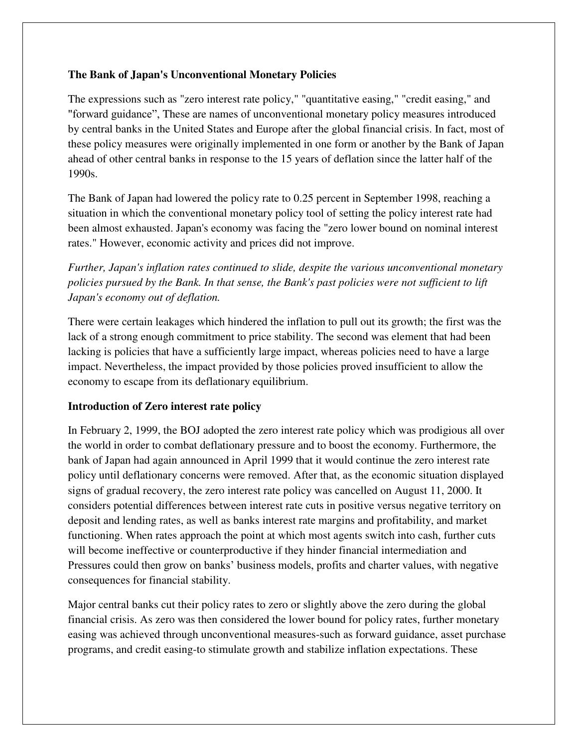#### **The Bank of Japan's Unconventional Monetary Policies**

The expressions such as "zero interest rate policy," "quantitative easing," "credit easing," and "forward guidance", These are names of unconventional monetary policy measures introduced by central banks in the United States and Europe after the global financial crisis. In fact, most of these policy measures were originally implemented in one form or another by the Bank of Japan ahead of other central banks in response to the 15 years of deflation since the latter half of the 1990s.

The Bank of Japan had lowered the policy rate to 0.25 percent in September 1998, reaching a situation in which the conventional monetary policy tool of setting the policy interest rate had been almost exhausted. Japan's economy was facing the "zero lower bound on nominal interest rates." However, economic activity and prices did not improve.

*Further, Japan's inflation rates continued to slide, despite the various unconventional monetary policies pursued by the Bank. In that sense, the Bank's past policies were not sufficient to lift Japan's economy out of deflation.* 

There were certain leakages which hindered the inflation to pull out its growth; the first was the lack of a strong enough commitment to price stability. The second was element that had been lacking is policies that have a sufficiently large impact, whereas policies need to have a large impact. Nevertheless, the impact provided by those policies proved insufficient to allow the economy to escape from its deflationary equilibrium.

#### **Introduction of Zero interest rate policy**

In February 2, 1999, the BOJ adopted the zero interest rate policy which was prodigious all over the world in order to combat deflationary pressure and to boost the economy. Furthermore, the bank of Japan had again announced in April 1999 that it would continue the zero interest rate policy until deflationary concerns were removed. After that, as the economic situation displayed signs of gradual recovery, the zero interest rate policy was cancelled on August 11, 2000. It considers potential differences between interest rate cuts in positive versus negative territory on deposit and lending rates, as well as banks interest rate margins and profitability, and market functioning. When rates approach the point at which most agents switch into cash, further cuts will become ineffective or counterproductive if they hinder financial intermediation and Pressures could then grow on banks' business models, profits and charter values, with negative consequences for financial stability.

Major central banks cut their policy rates to zero or slightly above the zero during the global financial crisis. As zero was then considered the lower bound for policy rates, further monetary easing was achieved through unconventional measures-such as forward guidance, asset purchase programs, and credit easing-to stimulate growth and stabilize inflation expectations. These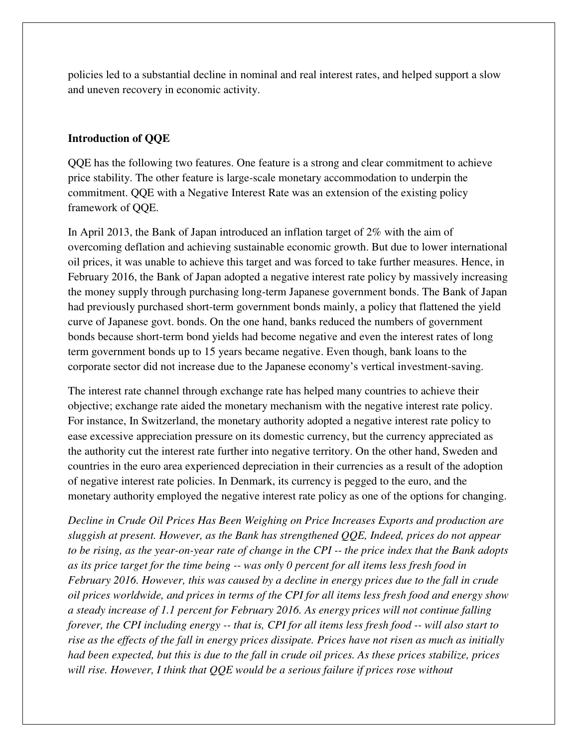policies led to a substantial decline in nominal and real interest rates, and helped support a slow and uneven recovery in economic activity.

#### **Introduction of QQE**

QQE has the following two features. One feature is a strong and clear commitment to achieve price stability. The other feature is large-scale monetary accommodation to underpin the commitment. QQE with a Negative Interest Rate was an extension of the existing policy framework of QQE.

In April 2013, the Bank of Japan introduced an inflation target of 2% with the aim of overcoming deflation and achieving sustainable economic growth. But due to lower international oil prices, it was unable to achieve this target and was forced to take further measures. Hence, in February 2016, the Bank of Japan adopted a negative interest rate policy by massively increasing the money supply through purchasing long-term Japanese government bonds. The Bank of Japan had previously purchased short-term government bonds mainly, a policy that flattened the yield curve of Japanese govt. bonds. On the one hand, banks reduced the numbers of government bonds because short-term bond yields had become negative and even the interest rates of long term government bonds up to 15 years became negative. Even though, bank loans to the corporate sector did not increase due to the Japanese economy's vertical investment-saving.

The interest rate channel through exchange rate has helped many countries to achieve their objective; exchange rate aided the monetary mechanism with the negative interest rate policy. For instance, In Switzerland, the monetary authority adopted a negative interest rate policy to ease excessive appreciation pressure on its domestic currency, but the currency appreciated as the authority cut the interest rate further into negative territory. On the other hand, Sweden and countries in the euro area experienced depreciation in their currencies as a result of the adoption of negative interest rate policies. In Denmark, its currency is pegged to the euro, and the monetary authority employed the negative interest rate policy as one of the options for changing.

*Decline in Crude Oil Prices Has Been Weighing on Price Increases Exports and production are sluggish at present. However, as the Bank has strengthened QQE, Indeed, prices do not appear to be rising, as the year-on-year rate of change in the CPI -- the price index that the Bank adopts as its price target for the time being -- was only 0 percent for all items less fresh food in February 2016. However, this was caused by a decline in energy prices due to the fall in crude oil prices worldwide, and prices in terms of the CPI for all items less fresh food and energy show a steady increase of 1.1 percent for February 2016. As energy prices will not continue falling forever, the CPI including energy -- that is, CPI for all items less fresh food -- will also start to rise as the effects of the fall in energy prices dissipate. Prices have not risen as much as initially had been expected, but this is due to the fall in crude oil prices. As these prices stabilize, prices will rise. However, I think that QQE would be a serious failure if prices rose without*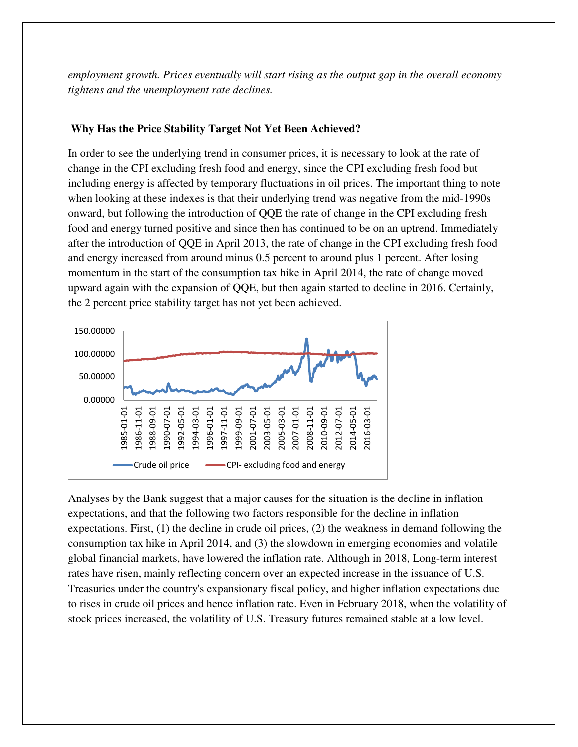*employment growth. Prices eventually will start rising as the output gap in the overall economy tightens and the unemployment rate declines.* 

#### **Why Has the Price Stability Target Not Yet Been Achieved?**

In order to see the underlying trend in consumer prices, it is necessary to look at the rate of change in the CPI excluding fresh food and energy, since the CPI excluding fresh food but including energy is affected by temporary fluctuations in oil prices. The important thing to note when looking at these indexes is that their underlying trend was negative from the mid-1990s onward, but following the introduction of QQE the rate of change in the CPI excluding fresh food and energy turned positive and since then has continued to be on an uptrend. Immediately after the introduction of QQE in April 2013, the rate of change in the CPI excluding fresh food and energy increased from around minus 0.5 percent to around plus 1 percent. After losing momentum in the start of the consumption tax hike in April 2014, the rate of change moved upward again with the expansion of QQE, but then again started to decline in 2016. Certainly, the 2 percent price stability target has not yet been achieved.



Analyses by the Bank suggest that a major causes for the situation is the decline in inflation expectations, and that the following two factors responsible for the decline in inflation expectations. First, (1) the decline in crude oil prices, (2) the weakness in demand following the consumption tax hike in April 2014, and (3) the slowdown in emerging economies and volatile global financial markets, have lowered the inflation rate. Although in 2018, Long-term interest rates have risen, mainly reflecting concern over an expected increase in the issuance of U.S. Treasuries under the country's expansionary fiscal policy, and higher inflation expectations due to rises in crude oil prices and hence inflation rate. Even in February 2018, when the volatility of stock prices increased, the volatility of U.S. Treasury futures remained stable at a low level.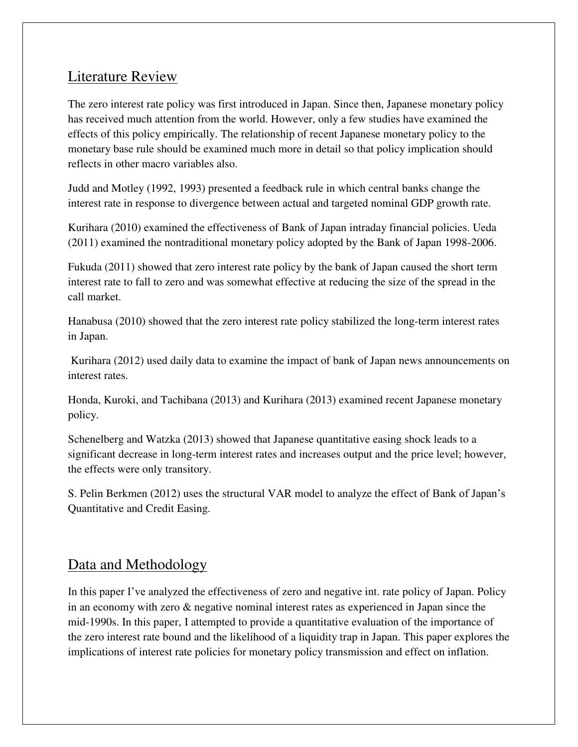# Literature Review

The zero interest rate policy was first introduced in Japan. Since then, Japanese monetary policy has received much attention from the world. However, only a few studies have examined the effects of this policy empirically. The relationship of recent Japanese monetary policy to the monetary base rule should be examined much more in detail so that policy implication should reflects in other macro variables also.

Judd and Motley (1992, 1993) presented a feedback rule in which central banks change the interest rate in response to divergence between actual and targeted nominal GDP growth rate.

Kurihara (2010) examined the effectiveness of Bank of Japan intraday financial policies. Ueda (2011) examined the nontraditional monetary policy adopted by the Bank of Japan 1998-2006.

Fukuda (2011) showed that zero interest rate policy by the bank of Japan caused the short term interest rate to fall to zero and was somewhat effective at reducing the size of the spread in the call market.

Hanabusa (2010) showed that the zero interest rate policy stabilized the long-term interest rates in Japan.

 Kurihara (2012) used daily data to examine the impact of bank of Japan news announcements on interest rates.

Honda, Kuroki, and Tachibana (2013) and Kurihara (2013) examined recent Japanese monetary policy.

Schenelberg and Watzka (2013) showed that Japanese quantitative easing shock leads to a significant decrease in long-term interest rates and increases output and the price level; however, the effects were only transitory.

S. Pelin Berkmen (2012) uses the structural VAR model to analyze the effect of Bank of Japan's Quantitative and Credit Easing.

# Data and Methodology

In this paper I've analyzed the effectiveness of zero and negative int. rate policy of Japan. Policy in an economy with zero & negative nominal interest rates as experienced in Japan since the mid-1990s. In this paper, I attempted to provide a quantitative evaluation of the importance of the zero interest rate bound and the likelihood of a liquidity trap in Japan. This paper explores the implications of interest rate policies for monetary policy transmission and effect on inflation.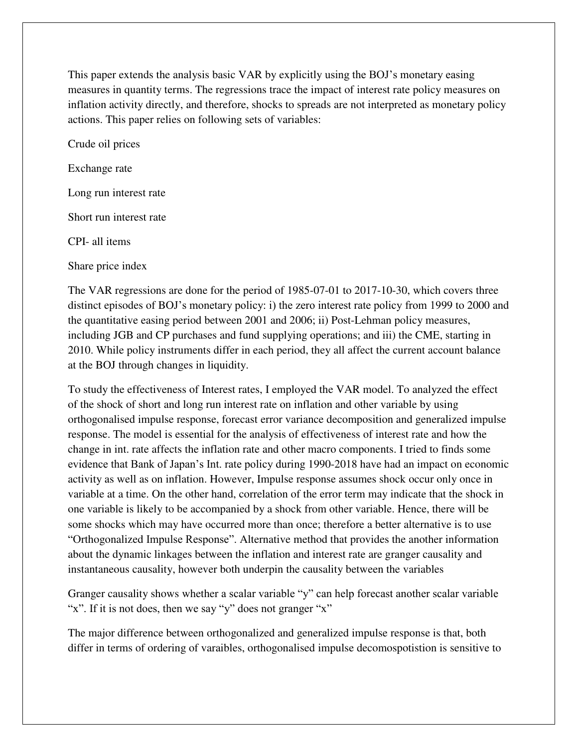This paper extends the analysis basic VAR by explicitly using the BOJ's monetary easing measures in quantity terms. The regressions trace the impact of interest rate policy measures on inflation activity directly, and therefore, shocks to spreads are not interpreted as monetary policy actions. This paper relies on following sets of variables:

Crude oil prices Exchange rate Long run interest rate Short run interest rate CPI- all items

Share price index

The VAR regressions are done for the period of 1985-07-01 to 2017-10-30, which covers three distinct episodes of BOJ's monetary policy: i) the zero interest rate policy from 1999 to 2000 and the quantitative easing period between 2001 and 2006; ii) Post-Lehman policy measures, including JGB and CP purchases and fund supplying operations; and iii) the CME, starting in 2010. While policy instruments differ in each period, they all affect the current account balance at the BOJ through changes in liquidity.

To study the effectiveness of Interest rates, I employed the VAR model. To analyzed the effect of the shock of short and long run interest rate on inflation and other variable by using orthogonalised impulse response, forecast error variance decomposition and generalized impulse response. The model is essential for the analysis of effectiveness of interest rate and how the change in int. rate affects the inflation rate and other macro components. I tried to finds some evidence that Bank of Japan's Int. rate policy during 1990-2018 have had an impact on economic activity as well as on inflation. However, Impulse response assumes shock occur only once in variable at a time. On the other hand, correlation of the error term may indicate that the shock in one variable is likely to be accompanied by a shock from other variable. Hence, there will be some shocks which may have occurred more than once; therefore a better alternative is to use "Orthogonalized Impulse Response". Alternative method that provides the another information about the dynamic linkages between the inflation and interest rate are granger causality and instantaneous causality, however both underpin the causality between the variables

Granger causality shows whether a scalar variable "y" can help forecast another scalar variable "x". If it is not does, then we say "y" does not granger "x"

The major difference between orthogonalized and generalized impulse response is that, both differ in terms of ordering of varaibles, orthogonalised impulse decomospotistion is sensitive to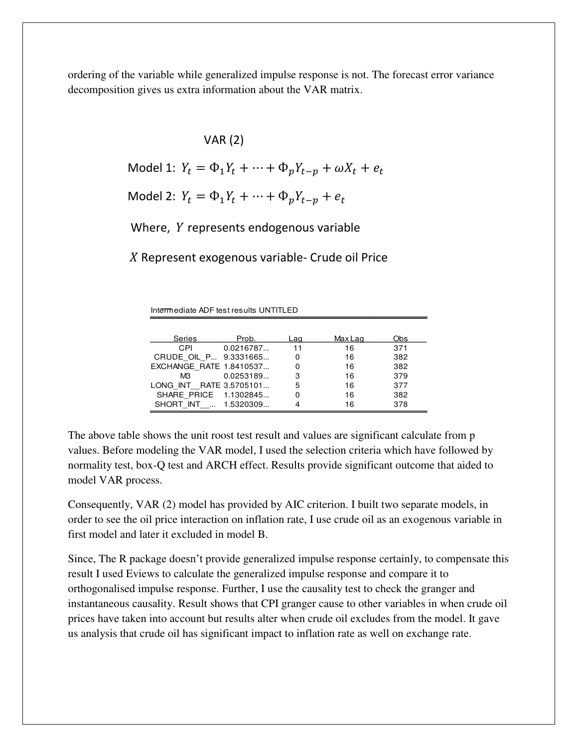ordering of the variable while generalized impulse response is not. The forecast error variance decomposition gives us extra information about the VAR matrix.

VAR (2)

Model 1:  $Y_t = \Phi_1 Y_t + \dots + \Phi_p Y_{t-p} + \omega X_t + e_t$ 

Model 2:  $Y_t = \Phi_1 Y_t + \cdots + \Phi_p Y_{t-p} + e_t$ 

Where,  $Y$  represents endogenous variable

 $X$  Represent exogenous variable- Crude oil Price

Intermediate ADF test results UNTITLED

| Series                  | Prob.     | Laɑ | Max Lag | Obs |
|-------------------------|-----------|-----|---------|-----|
| CPI                     | 0.0216787 | 11  | 16      | 371 |
| CRUDE OIL P 9.3331665   |           | O   | 16      | 382 |
| EXCHANGE RATE 1.8410537 |           | O   | 16      | 382 |
| МЗ                      | 0.0253189 | 3   | 16      | 379 |
| LONG INT RATE 3.5705101 |           | 5   | 16      | 377 |
| SHARE PRICE 1.1302845   |           | 0   | 16      | 382 |
| SHORT INT  1.5320309    |           |     | 16      | 378 |

The above table shows the unit roost test result and values are significant calculate from p values. Before modeling the VAR model, I used the selection criteria which have followed by normality test, box-Q test and ARCH effect. Results provide significant outcome that aided to model VAR process.

Consequently, VAR (2) model has provided by AIC criterion. I built two separate models, in order to see the oil price interaction on inflation rate, I use crude oil as an exogenous variable in first model and later it excluded in model B.

Since, The R package doesn't provide generalized impulse response certainly, to compensate this result I used Eviews to calculate the generalized impulse response and compare it to orthogonalised impulse response. Further, I use the causality test to check the granger and instantaneous causality. Result shows that CPI granger cause to other variables in when crude oil prices have taken into account but results alter when crude oil excludes from the model. It gave us analysis that crude oil has significant impact to inflation rate as well on exchange rate.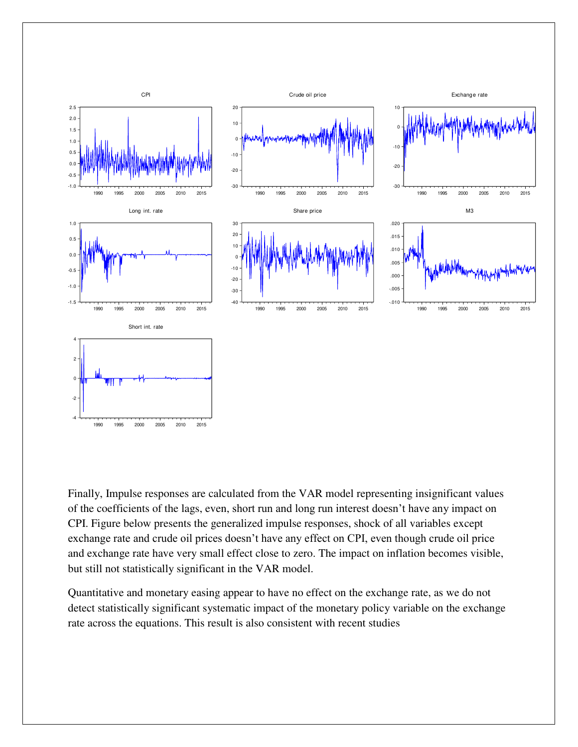

Finally, Impulse responses are calculated from the VAR model representing insignificant values of the coefficients of the lags, even, short run and long run interest doesn't have any impact on CPI. Figure below presents the generalized impulse responses, shock of all variables except exchange rate and crude oil prices doesn't have any effect on CPI, even though crude oil price and exchange rate have very small effect close to zero. The impact on inflation becomes visible, but still not statistically significant in the VAR model.

Quantitative and monetary easing appear to have no effect on the exchange rate, as we do not detect statistically significant systematic impact of the monetary policy variable on the exchange rate across the equations. This result is also consistent with recent studies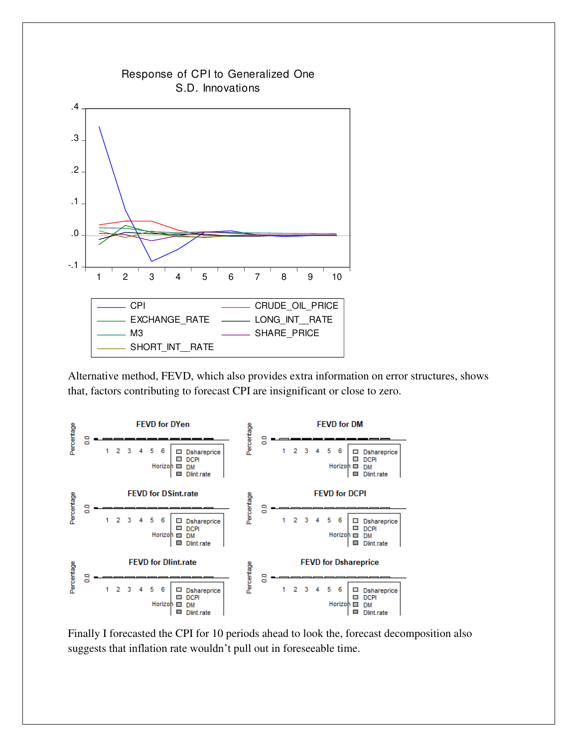

Alternative method, FEVD, which also provides extra information on error structures, shows that, factors contributing to forecast CPI are insignificant or close to zero.



Finally I forecasted the CPI for 10 periods ahead to look the, forecast decomposition also suggests that inflation rate wouldn't pull out in foreseeable time.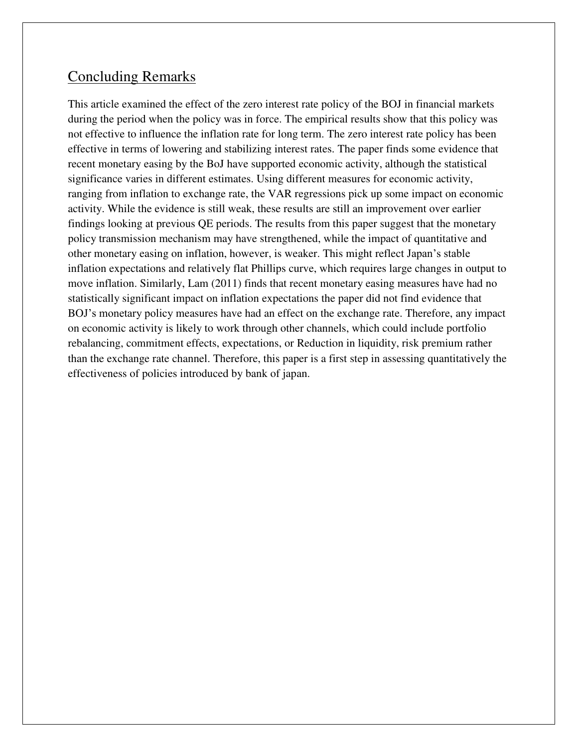# Concluding Remarks

This article examined the effect of the zero interest rate policy of the BOJ in financial markets during the period when the policy was in force. The empirical results show that this policy was not effective to influence the inflation rate for long term. The zero interest rate policy has been effective in terms of lowering and stabilizing interest rates. The paper finds some evidence that recent monetary easing by the BoJ have supported economic activity, although the statistical significance varies in different estimates. Using different measures for economic activity, ranging from inflation to exchange rate, the VAR regressions pick up some impact on economic activity. While the evidence is still weak, these results are still an improvement over earlier findings looking at previous QE periods. The results from this paper suggest that the monetary policy transmission mechanism may have strengthened, while the impact of quantitative and other monetary easing on inflation, however, is weaker. This might reflect Japan's stable inflation expectations and relatively flat Phillips curve, which requires large changes in output to move inflation. Similarly, Lam (2011) finds that recent monetary easing measures have had no statistically significant impact on inflation expectations the paper did not find evidence that BOJ's monetary policy measures have had an effect on the exchange rate. Therefore, any impact on economic activity is likely to work through other channels, which could include portfolio rebalancing, commitment effects, expectations, or Reduction in liquidity, risk premium rather than the exchange rate channel. Therefore, this paper is a first step in assessing quantitatively the effectiveness of policies introduced by bank of japan.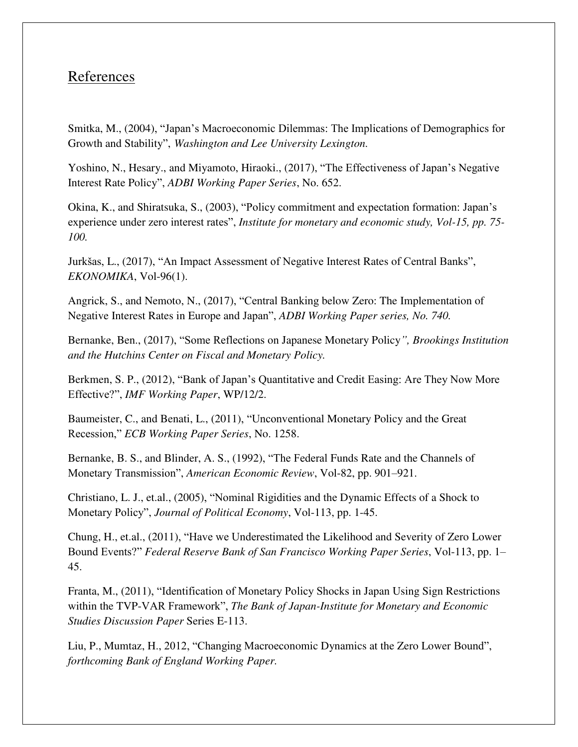# References

Smitka, M., (2004), "Japan's Macroeconomic Dilemmas: The Implications of Demographics for Growth and Stability", *Washington and Lee University Lexington.*

Yoshino, N., Hesary., and Miyamoto, Hiraoki., (2017), "The Effectiveness of Japan's Negative Interest Rate Policy", *ADBI Working Paper Series*, No. 652.

Okina, K., and Shiratsuka, S., (2003), "Policy commitment and expectation formation: Japan's experience under zero interest rates", *Institute for monetary and economic study, Vol-15, pp. 75- 100.*

Jurkšas, L., (2017), "An Impact Assessment of Negative Interest Rates of Central Banks", *EKONOMIKA*, Vol-96(1).

Angrick, S., and Nemoto, N., (2017), "Central Banking below Zero: The Implementation of Negative Interest Rates in Europe and Japan", *ADBI Working Paper series, No. 740.* 

Bernanke, Ben., (2017), "Some Reflections on Japanese Monetary Policy*", Brookings Institution and the Hutchins Center on Fiscal and Monetary Policy.* 

Berkmen, S. P., (2012), "Bank of Japan's Quantitative and Credit Easing: Are They Now More Effective?", *IMF Working Paper*, WP/12/2.

Baumeister, C., and Benati, L., (2011), "Unconventional Monetary Policy and the Great Recession," *ECB Working Paper Series*, No. 1258.

Bernanke, B. S., and Blinder, A. S., (1992), "The Federal Funds Rate and the Channels of Monetary Transmission", *American Economic Review*, Vol-82, pp. 901–921.

Christiano, L. J., et.al., (2005), "Nominal Rigidities and the Dynamic Effects of a Shock to Monetary Policy", *Journal of Political Economy*, Vol-113, pp. 1-45.

Chung, H., et.al., (2011), "Have we Underestimated the Likelihood and Severity of Zero Lower Bound Events?" *Federal Reserve Bank of San Francisco Working Paper Series*, Vol-113, pp. 1– 45.

Franta, M., (2011), "Identification of Monetary Policy Shocks in Japan Using Sign Restrictions within the TVP-VAR Framework", *The Bank of Japan-Institute for Monetary and Economic Studies Discussion Paper* Series E-113.

Liu, P., Mumtaz, H., 2012, "Changing Macroeconomic Dynamics at the Zero Lower Bound", *forthcoming Bank of England Working Paper.*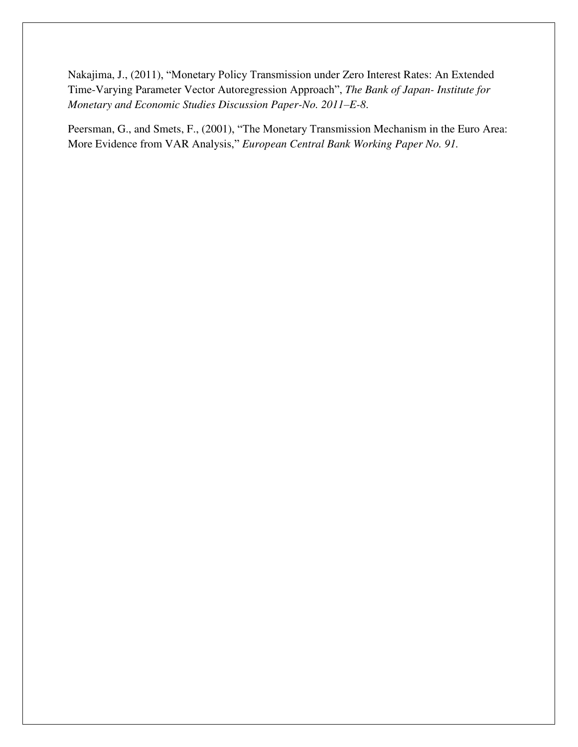Nakajima, J., (2011), "Monetary Policy Transmission under Zero Interest Rates: An Extended Time-Varying Parameter Vector Autoregression Approach", *The Bank of Japan- Institute for Monetary and Economic Studies Discussion Paper-No. 2011–E-8*.

Peersman, G., and Smets, F., (2001), "The Monetary Transmission Mechanism in the Euro Area: More Evidence from VAR Analysis," *European Central Bank Working Paper No. 91.*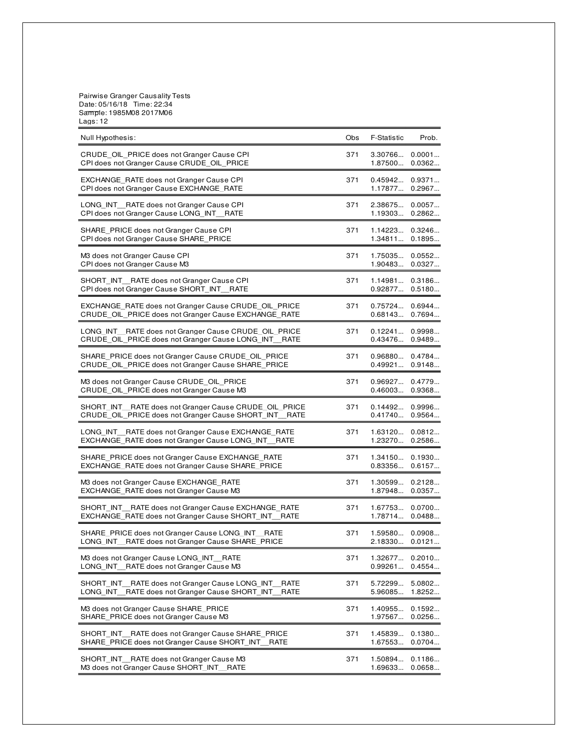Pairwise Granger Causality Tests Date: 05/16/18 Time: 22:34 Sample: 1985M08 2017M06 Lags: 12

| Null Hypothesis:                                                                                                    | Obs | <b>F-Statistic</b>                       | Prob.            |
|---------------------------------------------------------------------------------------------------------------------|-----|------------------------------------------|------------------|
| CRUDE OIL PRICE does not Granger Cause CPI<br>CPI does not Granger Cause CRUDE_OIL_PRICE                            | 371 | 3.30766<br>1.87500                       | 0.0001<br>0.0362 |
| EXCHANGE RATE does not Granger Cause CPI<br>CPI does not Granger Cause EXCHANGE RATE                                | 371 | 0.45942<br>1.17877                       | 0.9371<br>0.2967 |
| LONG INT RATE does not Granger Cause CPI<br>CPI does not Granger Cause LONG INT RATE                                | 371 | 2.38675<br>1.19303                       | 0.0057<br>0.2862 |
| SHARE PRICE does not Granger Cause CPI<br>CPI does not Granger Cause SHARE PRICE                                    | 371 | 1.14223<br>1.34811                       | 0.3246<br>0.1895 |
| M3 does not Granger Cause CPI<br>CPI does not Granger Cause M3                                                      | 371 | 1.75035<br>1.90483                       | 0.0552<br>0.0327 |
| SHORT INT RATE does not Granger Cause CPI<br>CPI does not Granger Cause SHORT INT RATE                              | 371 | $1.14981$ 0.3186<br>$0.92877$ $0.5180$   |                  |
| EXCHANGE_RATE does not Granger Cause CRUDE_OIL_PRICE<br>CRUDE OIL PRICE does not Granger Cause EXCHANGE RATE        | 371 | $0.75724$ 0.6944<br>0.68143              | 0.7694           |
| LONG INT RATE does not Granger Cause CRUDE OIL PRICE<br>CRUDE_OIL_PRICE does not Granger Cause LONG_INT_RATE        | 371 | $0.12241$ 0.9998<br>0.43476              | 0.9489           |
| SHARE PRICE does not Granger Cause CRUDE OIL PRICE<br>CRUDE OIL PRICE does not Granger Cause SHARE PRICE            | 371 | $0.96880$ $0.4784$<br>$0.49921$ $0.9148$ |                  |
| M3 does not Granger Cause CRUDE OIL PRICE<br>CRUDE OIL PRICE does not Granger Cause M3                              | 371 | $0.96927$ $0.4779$<br>$0.46003$ 0.9368   |                  |
| SHORT INT RATE does not Granger Cause CRUDE OIL PRICE<br>CRUDE OIL PRICE does not Granger Cause SHORT INT RATE      | 371 | $0.14492$ 0.9996<br>0.41740              | 0.9564           |
| LONG INT RATE does not Granger Cause EXCHANGE RATE<br>EXCHANGE_RATE does not Granger Cause LONG_INT__RATE           | 371 | 1.63120<br>1.23270                       | 0.0812<br>0.2586 |
| SHARE_PRICE does not Granger Cause EXCHANGE_RATE<br>EXCHANGE RATE does not Granger Cause SHARE PRICE                | 371 | 1.34150 0.1930<br>$0.83356$ $0.6157$     |                  |
| M3 does not Granger Cause EXCHANGE RATE<br>EXCHANGE_RATE does not Granger Cause M3                                  | 371 | 1.30599<br>1.87948                       | 0.2128<br>0.0357 |
| SHORT INT RATE does not Granger Cause EXCHANGE RATE<br>EXCHANGE_RATE does not Granger Cause SHORT_INT_<br>RATE      | 371 | 1.67753<br>1.78714                       | 0.0700<br>0.0488 |
| SHARE_PRICE does not Granger Cause LONG_INT__RATE<br>LONG INT RATE does not Granger Cause SHARE PRICE               | 371 | $1.59580$ 0.0908<br>$2.18330$ $0.0121$   |                  |
| M3 does not Granger Cause LONG_INT_RATE<br>RATE does not Granger Cause M3<br>LONG INT                               | 371 | 1.32677<br>0.99261                       | 0.2010<br>0.4554 |
| SHORT INT RATE does not Granger Cause LONG INT<br>RATE<br>RATE does not Granger Cause SHORT INT<br>LONG INT<br>RATE | 371 | 5.72299<br>5.96085                       | 5.0802<br>1.8252 |
| M3 does not Granger Cause SHARE PRICE<br>SHARE_PRICE does not Granger Cause M3                                      | 371 | 1.40955<br>1.97567                       | 0.1592<br>0.0256 |
| SHORT INT RATE does not Granger Cause SHARE PRICE<br>SHARE PRICE does not Granger Cause SHORT INT<br>RATE           | 371 | 1.45839<br>1.67553                       | 0.1380<br>0.0704 |
| SHORT INT RATE does not Granger Cause M3<br>M3 does not Granger Cause SHORT INT<br><b>RATE</b>                      | 371 | 1.50894<br>1.69633                       | 0.1186<br>0.0658 |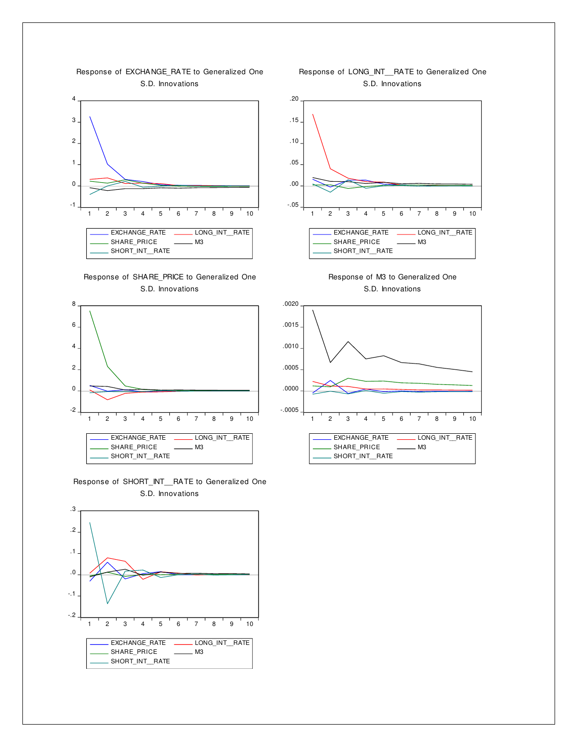

Response of EXCHANGE\_RATE to Generalized One

Response of SHARE\_PRICE to Generalized One S.D. Innovations



Response of SHORT\_INT\_\_RATE to Generalized One S.D. Innovations



Response of LONG\_INT\_\_RATE to Generalized One S.D. Innovations



Response of M3 to Generalized One S.D. Innovations

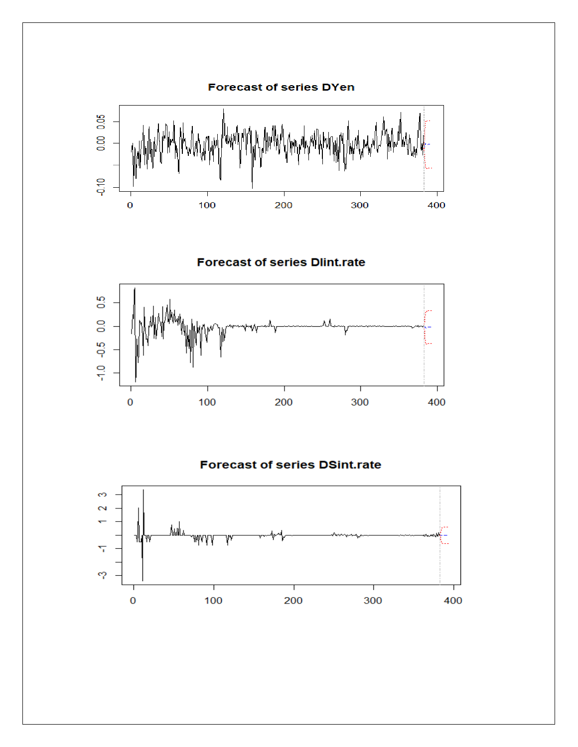

**Forecast of series Dlint.rate** 



#### **Forecast of series DSint.rate**

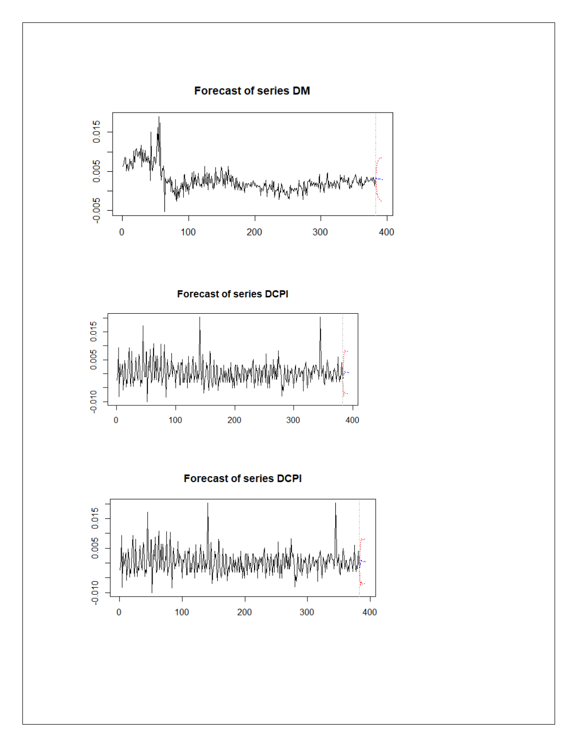**Forecast of series DM** 



**Forecast of series DCPI** 



**Forecast of series DCPI** 

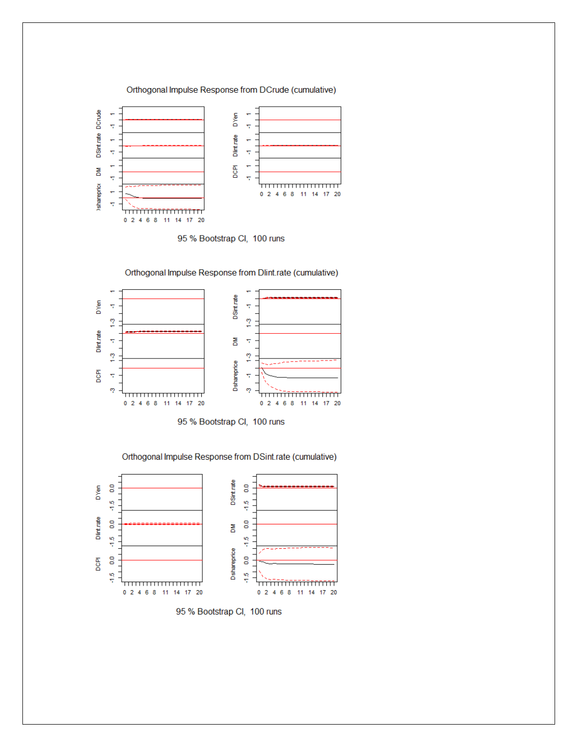

95 % Bootstrap Cl, 100 runs



Orthogonal Impulse Response from Dlint.rate (cumulative)

95 % Bootstrap Cl, 100 runs

Orthogonal Impulse Response from DSint.rate (cumulative)



95 % Bootstrap Cl, 100 runs